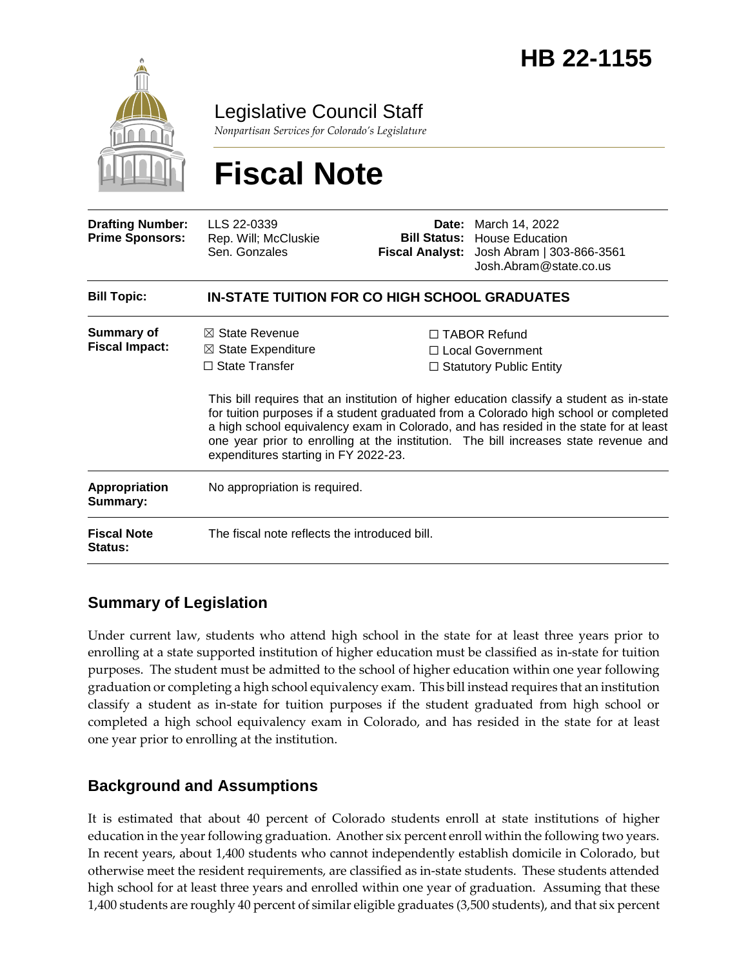

Legislative Council Staff

*Nonpartisan Services for Colorado's Legislature*

# **Fiscal Note**

| <b>Drafting Number:</b><br><b>Prime Sponsors:</b> | LLS 22-0339<br>Rep. Will; McCluskie<br>Sen. Gonzales                                                                        |  | <b>Date:</b> March 14, 2022<br><b>Bill Status: House Education</b><br>Fiscal Analyst: Josh Abram   303-866-3561<br>Josh.Abram@state.co.us                                                                                                                                                                                                                                                                                                         |  |
|---------------------------------------------------|-----------------------------------------------------------------------------------------------------------------------------|--|---------------------------------------------------------------------------------------------------------------------------------------------------------------------------------------------------------------------------------------------------------------------------------------------------------------------------------------------------------------------------------------------------------------------------------------------------|--|
| <b>Bill Topic:</b>                                | IN-STATE TUITION FOR CO HIGH SCHOOL GRADUATES                                                                               |  |                                                                                                                                                                                                                                                                                                                                                                                                                                                   |  |
| Summary of<br><b>Fiscal Impact:</b>               | $\boxtimes$ State Revenue<br>$\boxtimes$ State Expenditure<br>$\Box$ State Transfer<br>expenditures starting in FY 2022-23. |  | $\Box$ TABOR Refund<br>□ Local Government<br>$\Box$ Statutory Public Entity<br>This bill requires that an institution of higher education classify a student as in-state<br>for tuition purposes if a student graduated from a Colorado high school or completed<br>a high school equivalency exam in Colorado, and has resided in the state for at least<br>one year prior to enrolling at the institution. The bill increases state revenue and |  |
| <b>Appropriation</b><br>Summary:                  | No appropriation is required.                                                                                               |  |                                                                                                                                                                                                                                                                                                                                                                                                                                                   |  |
| <b>Fiscal Note</b><br><b>Status:</b>              | The fiscal note reflects the introduced bill.                                                                               |  |                                                                                                                                                                                                                                                                                                                                                                                                                                                   |  |

# **Summary of Legislation**

Under current law, students who attend high school in the state for at least three years prior to enrolling at a state supported institution of higher education must be classified as in-state for tuition purposes. The student must be admitted to the school of higher education within one year following graduation or completing a high school equivalency exam. This bill instead requires that an institution classify a student as in-state for tuition purposes if the student graduated from high school or completed a high school equivalency exam in Colorado, and has resided in the state for at least one year prior to enrolling at the institution.

# **Background and Assumptions**

It is estimated that about 40 percent of Colorado students enroll at state institutions of higher education in the year following graduation. Another six percent enroll within the following two years. In recent years, about 1,400 students who cannot independently establish domicile in Colorado, but otherwise meet the resident requirements, are classified as in-state students. These students attended high school for at least three years and enrolled within one year of graduation. Assuming that these 1,400 students are roughly 40 percent of similar eligible graduates (3,500 students), and that six percent